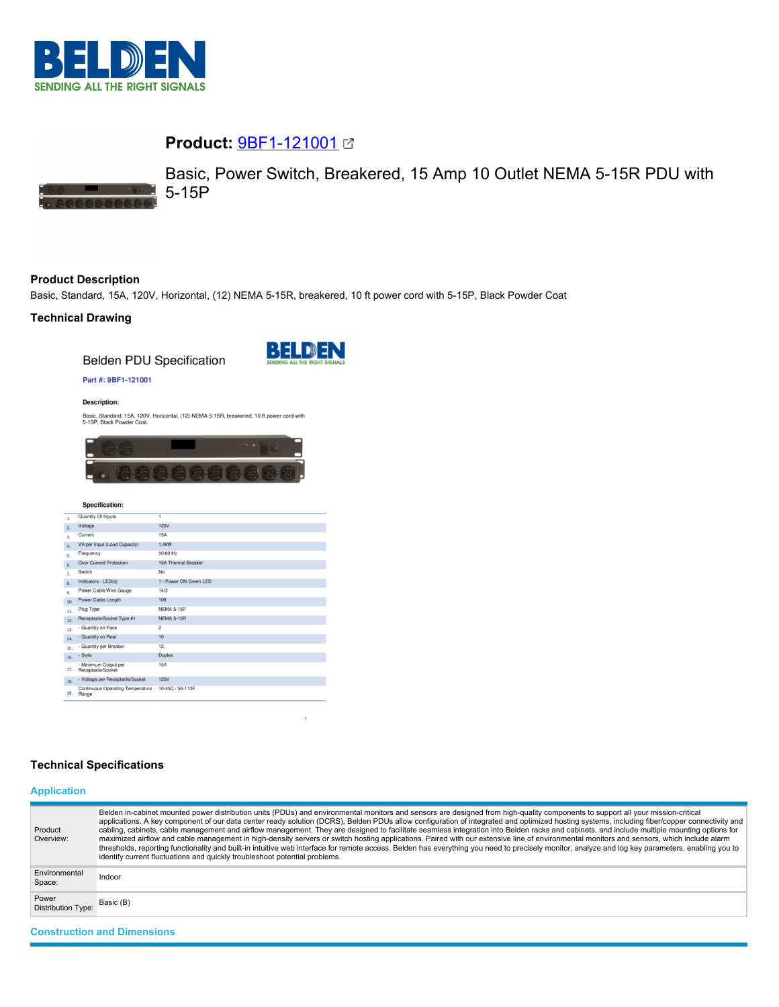

# **Product:** [9BF1-121001](https://catalog.belden.com/index.cfm?event=pd&p=PF_9BF1121001&tab=downloads)



Basic, Power Switch, Breakered, 15 Amp 10 Outlet NEMA 5-15R PDU with 5-15P

## **Product Description**

Basic, Standard, 15A, 120V, Horizontal, (12) NEMA 5-15R, breakered, 10 ft power cord with 5-15P, Black Powder Coat

## **Technical Drawing**

**Belden PDU Specification** 



#### Part #: 9BF1-121001

#### **Description:**

Basic, Standard, 15A, 120V, Horizontal, (12) NEMA 5-15R, breakered, 10 ft power cord with 5-15P, Black Powder Coat.



## Specification:

| 2.<br>3.<br>$\overline{a}$ . | Voltage<br>Current<br>VA per Input (Load Capacity)<br>Frequency | <b>120V</b><br>15A<br>1.4kW |
|------------------------------|-----------------------------------------------------------------|-----------------------------|
|                              |                                                                 |                             |
|                              |                                                                 |                             |
|                              |                                                                 |                             |
| 5.                           |                                                                 | 50/60 Hz                    |
| 6.                           | <b>Over Current Protection</b>                                  | 15A Thermal Breaker         |
| 7.                           | Switch                                                          | No                          |
| 8.                           | Indicators - LED(s)                                             | 1 - Power ON Green LED      |
| 9.                           | Power Cable Wire Gauge                                          | 14/3                        |
| 10.                          | Power Cable Length                                              | 10ft                        |
| 11.                          | Plug Type                                                       | <b>NEMA 5-15P</b>           |
| 12.                          | Receptacle/Socket Type #1                                       | <b>NEMA 5-15R</b>           |
| 13.                          | - Quantity on Face                                              | $\overline{2}$              |
| 14.                          | - Quantity on Rear                                              | 10                          |
| 15.                          | - Quantity per Breaker                                          | 12                          |
| 16.                          | - Style                                                         | <b>Duplex</b>               |
| 17.                          | - Maximum Output per<br>Receptacle/Socket                       | <b>15A</b>                  |
| 18.                          | - Voltage per Receptacle/Socket                                 | <b>120V</b>                 |
| 19.                          | Continuous Operating Temperature<br>Range                       | 10-45C / 50-113F            |

### **Technical Specifications**

## **Application**

| Product<br>Overview:               | Belden in-cabinet mounted power distribution units (PDUs) and environmental monitors and sensors are designed from high-quality components to support all your mission-critical<br>applications. A key component of our data center ready solution (DCRS), Belden PDUs allow configuration of integrated and optimized hosting systems, including fiber/copper connectivity and<br>cabling, cabinets, cable management and airflow management. They are designed to facilitate seamless integration into Belden racks and cabinets, and include multiple mounting options for<br>maximized airflow and cable management in high-density servers or switch hosting applications. Paired with our extensive line of environmental monitors and sensors, which include alarm<br>thresholds, reporting functionality and built-in intuitive web interface for remote access. Belden has everything you need to precisely monitor, analyze and log key parameters, enabling you to<br>identify current fluctuations and quickly troubleshoot potential problems. |
|------------------------------------|-------------------------------------------------------------------------------------------------------------------------------------------------------------------------------------------------------------------------------------------------------------------------------------------------------------------------------------------------------------------------------------------------------------------------------------------------------------------------------------------------------------------------------------------------------------------------------------------------------------------------------------------------------------------------------------------------------------------------------------------------------------------------------------------------------------------------------------------------------------------------------------------------------------------------------------------------------------------------------------------------------------------------------------------------------------|
| Environmental<br>Space:            | Indoor                                                                                                                                                                                                                                                                                                                                                                                                                                                                                                                                                                                                                                                                                                                                                                                                                                                                                                                                                                                                                                                      |
| Power<br><b>Distribution Type:</b> | Basic (B)                                                                                                                                                                                                                                                                                                                                                                                                                                                                                                                                                                                                                                                                                                                                                                                                                                                                                                                                                                                                                                                   |
| <b>Construction and Dimensions</b> |                                                                                                                                                                                                                                                                                                                                                                                                                                                                                                                                                                                                                                                                                                                                                                                                                                                                                                                                                                                                                                                             |